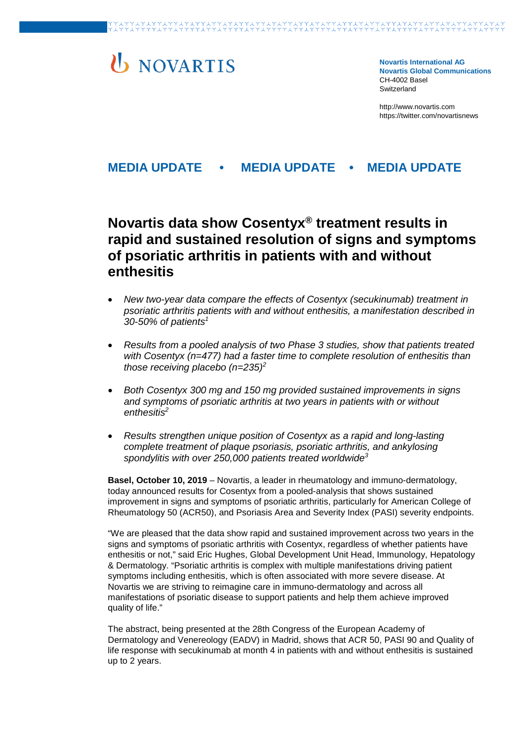# **U** NOVARTIS

**Novartis International AG Novartis Global Communications**  CH-4002 Basel Switzerland

[http://www.novartis.com](http://www.novartis.com/) https://twitter.com/novartisnews

### **MEDIA UPDATE • MEDIA UPDATE • MEDIA UPDATE**

## **Novartis data show Cosentyx® treatment results in rapid and sustained resolution of signs and symptoms of psoriatic arthritis in patients with and without enthesitis**

- *New two-year data compare the effects of Cosentyx (secukinumab) treatment in psoriatic arthritis patients with and without enthesitis, a manifestation described in 30-50% of patients1*
- *Results from a pooled analysis of two Phase 3 studies, show that patients treated with Cosentyx (n=477) had a faster time to complete resolution of enthesitis than those receiving placebo (n=235)<sup>2</sup>*
- *Both Cosentyx 300 mg and 150 mg provided sustained improvements in signs and symptoms of psoriatic arthritis at two years in patients with or without enthesitis2*
- *Results strengthen unique position of Cosentyx as a rapid and long-lasting complete treatment of plaque psoriasis, psoriatic arthritis, and ankylosing spondylitis with over 250,000 patients treated worldwide<sup>3</sup>*

**Basel, October 10, 2019** – Novartis, a leader in rheumatology and immuno-dermatology, today announced results for Cosentyx from a pooled-analysis that shows sustained improvement in signs and symptoms of psoriatic arthritis, particularly for American College of Rheumatology 50 (ACR50), and Psoriasis Area and Severity Index (PASI) severity endpoints.

"We are pleased that the data show rapid and sustained improvement across two years in the signs and symptoms of psoriatic arthritis with Cosentyx, regardless of whether patients have enthesitis or not," said Eric Hughes, Global Development Unit Head, Immunology, Hepatology & Dermatology. "Psoriatic arthritis is complex with multiple manifestations driving patient symptoms including enthesitis, which is often associated with more severe disease. At Novartis we are striving to reimagine care in immuno-dermatology and across all manifestations of psoriatic disease to support patients and help them achieve improved quality of life."

The abstract, being presented at the 28th Congress of the European Academy of Dermatology and Venereology (EADV) in Madrid, shows that ACR 50, PASI 90 and Quality of life response with secukinumab at month 4 in patients with and without enthesitis is sustained up to 2 years.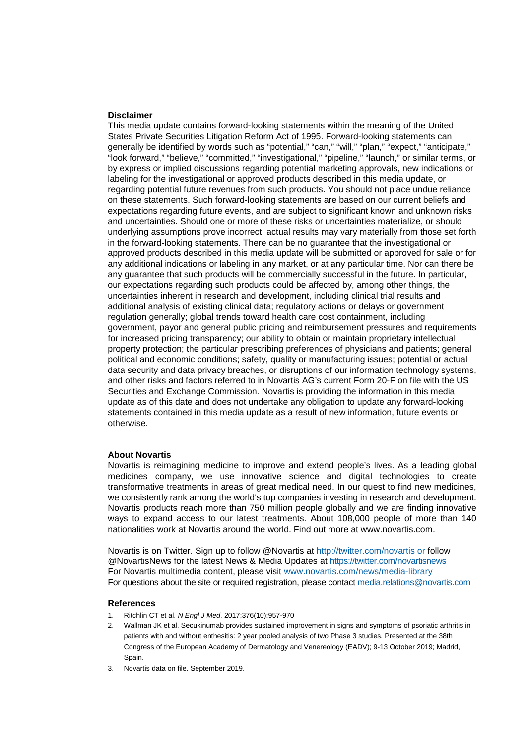#### **Disclaimer**

This media update contains forward-looking statements within the meaning of the United States Private Securities Litigation Reform Act of 1995. Forward-looking statements can generally be identified by words such as "potential," "can," "will," "plan," "expect," "anticipate," "look forward," "believe," "committed," "investigational," "pipeline," "launch," or similar terms, or by express or implied discussions regarding potential marketing approvals, new indications or labeling for the investigational or approved products described in this media update, or regarding potential future revenues from such products. You should not place undue reliance on these statements. Such forward-looking statements are based on our current beliefs and expectations regarding future events, and are subject to significant known and unknown risks and uncertainties. Should one or more of these risks or uncertainties materialize, or should underlying assumptions prove incorrect, actual results may vary materially from those set forth in the forward-looking statements. There can be no guarantee that the investigational or approved products described in this media update will be submitted or approved for sale or for any additional indications or labeling in any market, or at any particular time. Nor can there be any guarantee that such products will be commercially successful in the future. In particular, our expectations regarding such products could be affected by, among other things, the uncertainties inherent in research and development, including clinical trial results and additional analysis of existing clinical data; regulatory actions or delays or government regulation generally; global trends toward health care cost containment, including government, payor and general public pricing and reimbursement pressures and requirements for increased pricing transparency; our ability to obtain or maintain proprietary intellectual property protection; the particular prescribing preferences of physicians and patients; general political and economic conditions; safety, quality or manufacturing issues; potential or actual data security and data privacy breaches, or disruptions of our information technology systems, and other risks and factors referred to in Novartis AG's current Form 20-F on file with the US Securities and Exchange Commission. Novartis is providing the information in this media update as of this date and does not undertake any obligation to update any forward-looking statements contained in this media update as a result of new information, future events or otherwise.

#### **About Novartis**

Novartis is reimagining medicine to improve and extend people's lives. As a leading global medicines company, we use innovative science and digital technologies to create transformative treatments in areas of great medical need. In our quest to find new medicines, we consistently rank among the world's top companies investing in research and development. Novartis products reach more than 750 million people globally and we are finding innovative ways to expand access to our latest treatments. About 108,000 people of more than 140 nationalities work at Novartis around the world. Find out more at [www.novartis.com.](http://www.novartis.com/)

Novartis is on Twitter. Sign up to follow @Novartis at<http://twitter.com/novartis> or follow @NovartisNews for the latest News & Media Updates at<https://twitter.com/novartisnews> For Novartis multimedia content, please visit [www.novartis.com/news/media-library](http://www.novartis.com/news/media-library) For questions about the site or required registration, please contact [media.relations@novartis.com](mailto:media.relations@novartis.com)

#### **References**

- 1. Ritchlin CT et al. *N Engl J Med*. 2017;376(10):957-970
- 2. Wallman JK et al. Secukinumab provides sustained improvement in signs and symptoms of psoriatic arthritis in patients with and without enthesitis: 2 year pooled analysis of two Phase 3 studies. Presented at the 38th Congress of the European Academy of Dermatology and Venereology (EADV); 9-13 October 2019; Madrid, Spain.
- 3. Novartis data on file. September 2019.